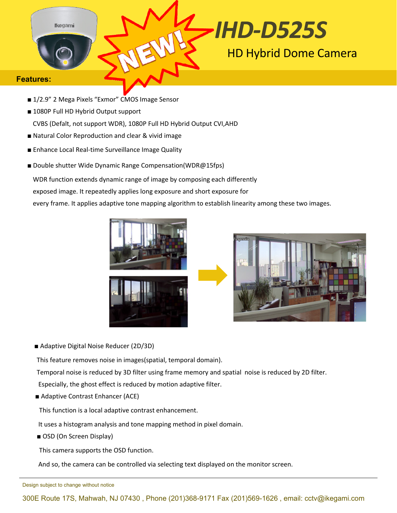

#### **Features:**

- 1/2.9" 2 Mega Pixels "Exmor" CMOS Image Sensor
- 1080P Full HD Hybrid Output support

CVBS (Defalt, not support WDR), 1080P Full HD Hybrid Output CVI,AHD

- Natural Color Reproduction and clear & vivid image
- Enhance Local Real-time Surveillance Image Quality
- Double shutter Wide Dynamic Range Compensation(WDR@15fps)

WDR function extends dynamic range of image by composing each differently

exposed image. It repeatedly applies long exposure and short exposure for

every frame. It applies adaptive tone mapping algorithm to establish linearity among these two images.



■ Adaptive Digital Noise Reducer (2D/3D)

This feature removes noise in images(spatial, temporal domain).

Temporal noise is reduced by 3D filter using frame memory and spatial noise is reduced by 2D filter.

Especially, the ghost effect is reduced by motion adaptive filter.

■ Adaptive Contrast Enhancer (ACE)

This function is a local adaptive contrast enhancement.

It uses a histogram analysis and tone mapping method in pixel domain.

■ OSD (On Screen Display)

This camera supports the OSD function.

And so, the camera can be controlled via selecting text displayed on the monitor screen.